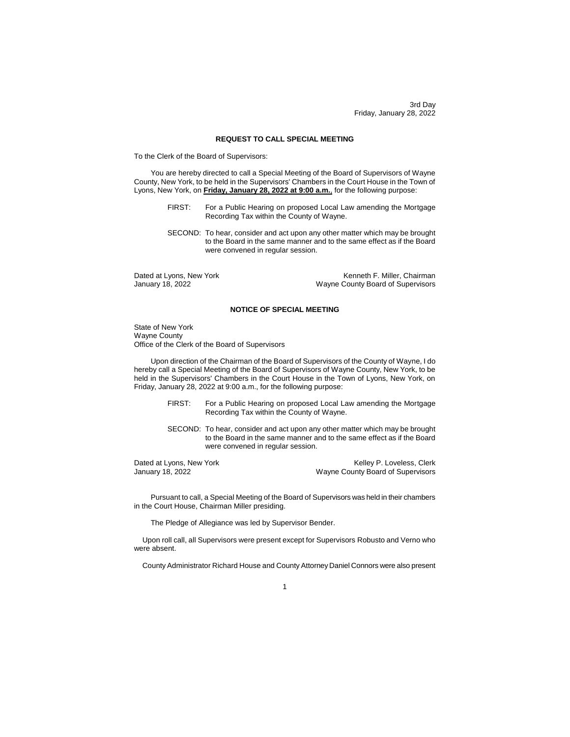3rd Day Friday, January 28, 2022

# **REQUEST TO CALL SPECIAL MEETING**

To the Clerk of the Board of Supervisors:

You are hereby directed to call a Special Meeting of the Board of Supervisors of Wayne County, New York, to be held in the Supervisors' Chambers in the Court House in the Town of Lyons, New York, on **Friday, January 28, 2022 at 9:00 a.m.**, for the following purpose:

- FIRST: For a Public Hearing on proposed Local Law amending the Mortgage Recording Tax within the County of Wayne.
- SECOND: To hear, consider and act upon any other matter which may be brought to the Board in the same manner and to the same effect as if the Board were convened in regular session.

Dated at Lyons, New York **Kenneth F. Miller, Chairman** January 18, 2022 Wayne County Board of Supervisors

### **NOTICE OF SPECIAL MEETING**

State of New York Wayne County Office of the Clerk of the Board of Supervisors

Upon direction of the Chairman of the Board of Supervisors of the County of Wayne, I do hereby call a Special Meeting of the Board of Supervisors of Wayne County, New York, to be held in the Supervisors' Chambers in the Court House in the Town of Lyons, New York, on Friday, January 28, 2022 at 9:00 a.m., for the following purpose:

- FIRST: For a Public Hearing on proposed Local Law amending the Mortgage Recording Tax within the County of Wayne.
- SECOND: To hear, consider and act upon any other matter which may be brought to the Board in the same manner and to the same effect as if the Board were convened in regular session.

Dated at Lyons, New York **Example 2018** Kelley P. Loveless, Clerk January 18, 2022<br>
Wayne County Board of Supervisors Wayne County Board of Supervisors

Pursuant to call, a Special Meeting of the Board of Supervisors was held in their chambers in the Court House, Chairman Miller presiding.

The Pledge of Allegiance was led by Supervisor Bender.

Upon roll call, all Supervisors were present except for Supervisors Robusto and Verno who were absent.

County Administrator Richard House and County Attorney Daniel Connors were also present

1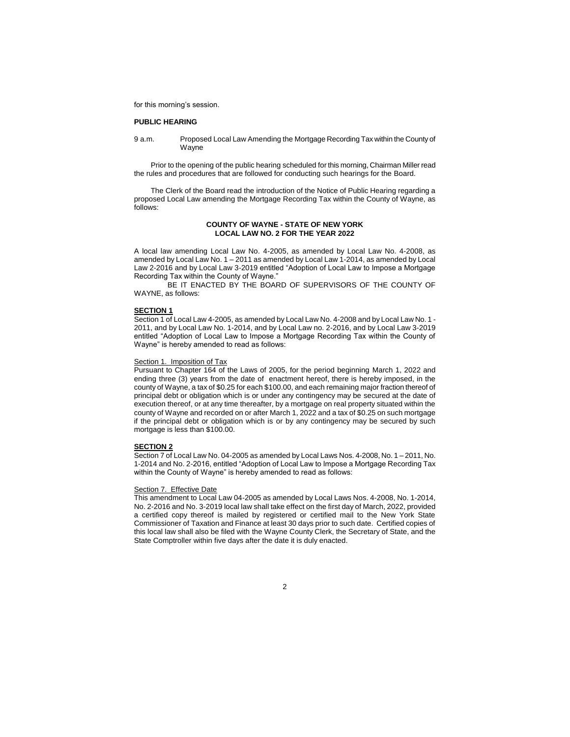for this morning's session.

### **PUBLIC HEARING**

9 a.m. Proposed Local Law Amending the Mortgage Recording Tax within the County of **Wayne** 

Prior to the opening of the public hearing scheduled for this morning, Chairman Miller read the rules and procedures that are followed for conducting such hearings for the Board.

The Clerk of the Board read the introduction of the Notice of Public Hearing regarding a proposed Local Law amending the Mortgage Recording Tax within the County of Wayne, as follows:

# **COUNTY OF WAYNE - STATE OF NEW YORK LOCAL LAW NO. 2 FOR THE YEAR 2022**

A local law amending Local Law No. 4-2005, as amended by Local Law No. 4-2008, as amended by Local Law No. 1 – 2011 as amended by Local Law 1-2014, as amended by Local Law 2-2016 and by Local Law 3-2019 entitled "Adoption of Local Law to Impose a Mortgage Recording Tax within the County of Wayne."

BE IT ENACTED BY THE BOARD OF SUPERVISORS OF THE COUNTY OF WAYNE, as follows:

#### **SECTION 1**

Section 1 of Local Law 4-2005, as amended by Local Law No. 4-2008 and by Local Law No. 1 - 2011, and by Local Law No. 1-2014, and by Local Law no. 2-2016, and by Local Law 3-2019 entitled "Adoption of Local Law to Impose a Mortgage Recording Tax within the County of Wayne" is hereby amended to read as follows:

### Section 1. Imposition of Tax

Pursuant to Chapter 164 of the Laws of 2005, for the period beginning March 1, 2022 and ending three (3) years from the date of enactment hereof, there is hereby imposed, in the county of Wayne, a tax of \$0.25 for each \$100.00, and each remaining major fraction thereof of principal debt or obligation which is or under any contingency may be secured at the date of execution thereof, or at any time thereafter, by a mortgage on real property situated within the county of Wayne and recorded on or after March 1, 2022 and a tax of \$0.25 on such mortgage if the principal debt or obligation which is or by any contingency may be secured by such mortgage is less than \$100.00.

### **SECTION 2**

Section 7 of Local Law No. 04-2005 as amended by Local Laws Nos. 4-2008, No. 1 – 2011, No. 1-2014 and No. 2-2016, entitled "Adoption of Local Law to Impose a Mortgage Recording Tax within the County of Wayne" is hereby amended to read as follows:

#### Section 7. Effective Date

This amendment to Local Law 04-2005 as amended by Local Laws Nos. 4-2008, No. 1-2014, No. 2-2016 and No. 3-2019 local law shall take effect on the first day of March, 2022, provided a certified copy thereof is mailed by registered or certified mail to the New York State Commissioner of Taxation and Finance at least 30 days prior to such date. Certified copies of this local law shall also be filed with the Wayne County Clerk, the Secretary of State, and the State Comptroller within five days after the date it is duly enacted.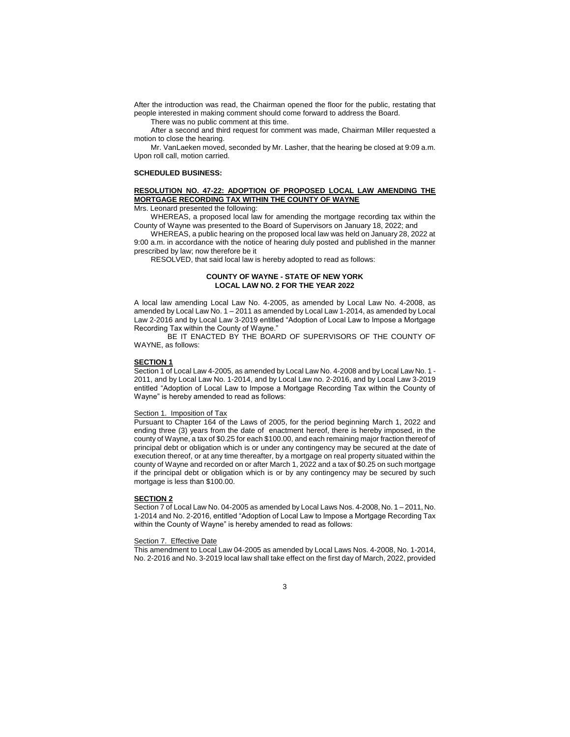After the introduction was read, the Chairman opened the floor for the public, restating that people interested in making comment should come forward to address the Board.

There was no public comment at this time.

After a second and third request for comment was made, Chairman Miller requested a motion to close the hearing.

Mr. VanLaeken moved, seconded by Mr. Lasher, that the hearing be closed at 9:09 a.m. Upon roll call, motion carried.

#### **SCHEDULED BUSINESS:**

# **RESOLUTION NO. 47-22: ADOPTION OF PROPOSED LOCAL LAW AMENDING THE MORTGAGE RECORDING TAX WITHIN THE COUNTY OF WAYNE**

Mrs. Leonard presented the following:

WHEREAS, a proposed local law for amending the mortgage recording tax within the County of Wayne was presented to the Board of Supervisors on January 18, 2022; and

WHEREAS, a public hearing on the proposed local law was held on January 28, 2022 at 9:00 a.m. in accordance with the notice of hearing duly posted and published in the manner prescribed by law; now therefore be it

RESOLVED, that said local law is hereby adopted to read as follows:

# **COUNTY OF WAYNE - STATE OF NEW YORK LOCAL LAW NO. 2 FOR THE YEAR 2022**

A local law amending Local Law No. 4-2005, as amended by Local Law No. 4-2008, as amended by Local Law No. 1 – 2011 as amended by Local Law 1-2014, as amended by Local Law 2-2016 and by Local Law 3-2019 entitled "Adoption of Local Law to Impose a Mortgage Recording Tax within the County of Wayne."

BE IT ENACTED BY THE BOARD OF SUPERVISORS OF THE COUNTY OF WAYNE, as follows:

### **SECTION 1**

Section 1 of Local Law 4-2005, as amended by Local Law No. 4-2008 and by Local Law No. 1 - 2011, and by Local Law No. 1-2014, and by Local Law no. 2-2016, and by Local Law 3-2019 entitled "Adoption of Local Law to Impose a Mortgage Recording Tax within the County of Wayne" is hereby amended to read as follows:

# Section 1. Imposition of Tax

Pursuant to Chapter 164 of the Laws of 2005, for the period beginning March 1, 2022 and ending three (3) years from the date of enactment hereof, there is hereby imposed, in the county of Wayne, a tax of \$0.25 for each \$100.00, and each remaining major fraction thereof of principal debt or obligation which is or under any contingency may be secured at the date of execution thereof, or at any time thereafter, by a mortgage on real property situated within the county of Wayne and recorded on or after March 1, 2022 and a tax of \$0.25 on such mortgage if the principal debt or obligation which is or by any contingency may be secured by such mortgage is less than \$100.00.

### **SECTION 2**

Section 7 of Local Law No. 04-2005 as amended by Local Laws Nos. 4-2008, No. 1 – 2011, No. 1-2014 and No. 2-2016, entitled "Adoption of Local Law to Impose a Mortgage Recording Tax within the County of Wayne" is hereby amended to read as follows:

#### Section 7. Effective Date

This amendment to Local Law 04-2005 as amended by Local Laws Nos. 4-2008, No. 1-2014, No. 2-2016 and No. 3-2019 local law shall take effect on the first day of March, 2022, provided